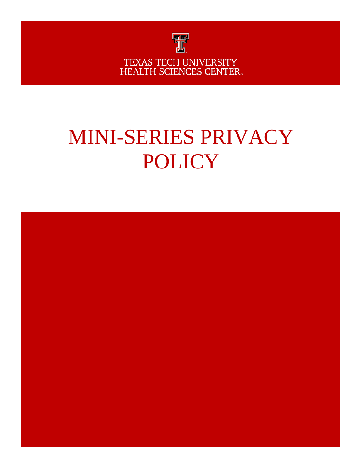

TEXAS TECH UNIVERSITY HEALTH SCIENCES CENTER.

# MINI-SERIES PRIVACY POLICY

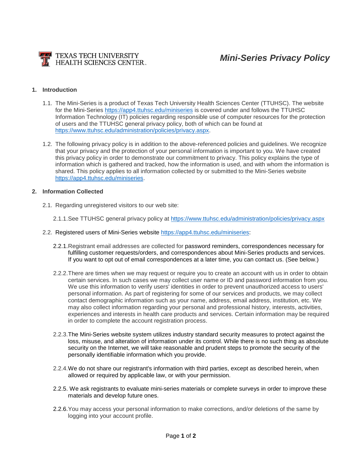

#### **1. Introduction**

- 1.1. The Mini-Series is a product of Texas Tech University Health Sciences Center (TTUHSC). The website for the Mini-Series<https://app4.ttuhsc.edu/miniseries> is covered under and follows the TTUHSC Information Technology (IT) policies regarding responsible use of computer resources for the protection of users and the TTUHSC general privacy policy, both of which can be found at [https://www.ttuhsc.edu/administration/policies/privacy.aspx.](https://www.ttuhsc.edu/administration/policies/privacy.aspx)
- 1.2. The following privacy policy is in addition to the above-referenced policies and guidelines. We recognize that your privacy and the protection of your personal information is important to you. We have created this privacy policy in order to demonstrate our commitment to privacy. This policy explains the type of information which is gathered and tracked, how the information is used, and with whom the information is shared. This policy applies to all information collected by or submitted to the Mini-Series website [https://app4.ttuhsc.edu/miniseries.](https://app4.ttuhsc.edu/miniseries)

### **2. Information Collected**

- 2.1. Regarding unregistered visitors to our web site:
	- 2.1.1.See TTUHSC general privacy policy at<https://www.ttuhsc.edu/administration/policies/privacy.aspx>
- 2.2. Registered users of Mini-Series website [https://app4.ttuhsc.edu/miniseries:](https://app4.ttuhsc.edu/miniseries)
	- 2.2.1.Registrant email addresses are collected for password reminders, correspondences necessary for fulfilling customer requests/orders, and correspondences about Mini-Series products and services. If you want to opt out of email correspondences at a later time, you can contact us. (See below.)
	- 2.2.2.There are times when we may request or require you to create an account with us in order to obtain certain services. In such cases we may collect user name or ID and password information from you. We use this information to verify users' identities in order to prevent unauthorized access to users' personal information. As part of registering for some of our services and products, we may collect contact demographic information such as your name, address, email address, institution, etc. We may also collect information regarding your personal and professional history, interests, activities, experiences and interests in health care products and services. Certain information may be required in order to complete the account registration process.
	- 2.2.3.The Mini-Series website system utilizes industry standard security measures to protect against the loss, misuse, and alteration of information under its control. While there is no such thing as absolute security on the Internet, we will take reasonable and prudent steps to promote the security of the personally identifiable information which you provide.
	- 2.2.4.We do not share our registrant's information with third parties, except as described herein, when allowed or required by applicable law, or with your permission.
	- 2.2.5. We ask registrants to evaluate mini-series materials or complete surveys in order to improve these materials and develop future ones.
	- 2.2.6.You may access your personal information to make corrections, and/or deletions of the same by logging into your account profile.